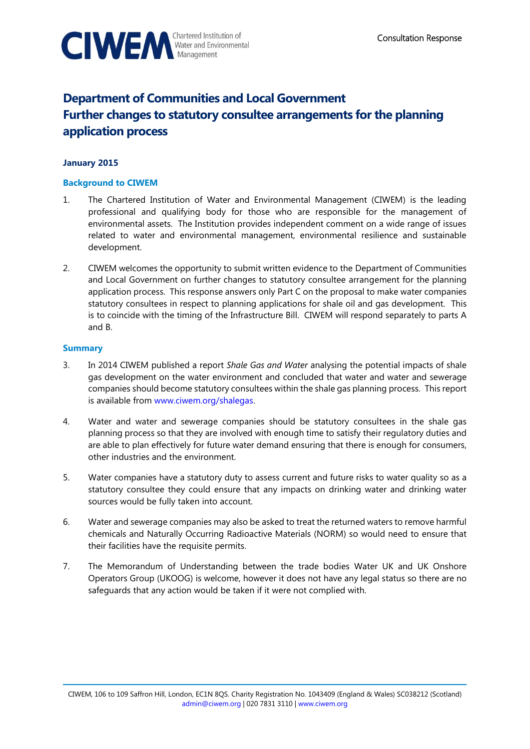

# **Department of Communities and Local Government Further changes to statutory consultee arrangements for the planning application process**

# **January 2015**

### **Background to CIWEM**

- 1. The Chartered Institution of Water and Environmental Management (CIWEM) is the leading professional and qualifying body for those who are responsible for the management of environmental assets. The Institution provides independent comment on a wide range of issues related to water and environmental management, environmental resilience and sustainable development.
- 2. CIWEM welcomes the opportunity to submit written evidence to the Department of Communities and Local Government on further changes to statutory consultee arrangement for the planning application process. This response answers only Part C on the proposal to make water companies statutory consultees in respect to planning applications for shale oil and gas development. This is to coincide with the timing of the Infrastructure Bill. CIWEM will respond separately to parts A and B.

## **Summary**

- 3. In 2014 CIWEM published a report *Shale Gas and Water* analysing the potential impacts of shale gas development on the water environment and concluded that water and water and sewerage companies should become statutory consultees within the shale gas planning process. This report is available from [www.ciwem.org/shalegas.](http://www.ciwem.org/shalegas)
- 4. Water and water and sewerage companies should be statutory consultees in the shale gas planning process so that they are involved with enough time to satisfy their regulatory duties and are able to plan effectively for future water demand ensuring that there is enough for consumers, other industries and the environment.
- 5. Water companies have a statutory duty to assess current and future risks to water quality so as a statutory consultee they could ensure that any impacts on drinking water and drinking water sources would be fully taken into account.
- 6. Water and sewerage companies may also be asked to treat the returned waters to remove harmful chemicals and Naturally Occurring Radioactive Materials (NORM) so would need to ensure that their facilities have the requisite permits.
- 7. The Memorandum of Understanding between the trade bodies Water UK and UK Onshore Operators Group (UKOOG) is welcome, however it does not have any legal status so there are no safeguards that any action would be taken if it were not complied with.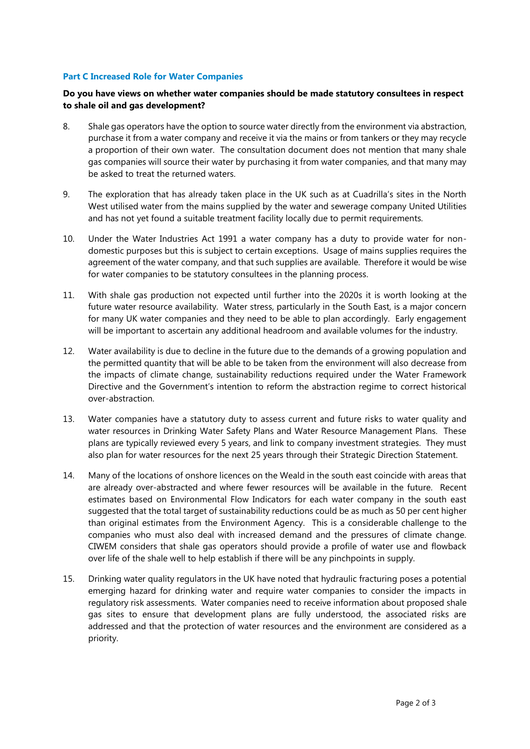#### **Part C Increased Role for Water Companies**

### **Do you have views on whether water companies should be made statutory consultees in respect to shale oil and gas development?**

- 8. Shale gas operators have the option to source water directly from the environment via abstraction, purchase it from a water company and receive it via the mains or from tankers or they may recycle a proportion of their own water. The consultation document does not mention that many shale gas companies will source their water by purchasing it from water companies, and that many may be asked to treat the returned waters.
- 9. The exploration that has already taken place in the UK such as at Cuadrilla's sites in the North West utilised water from the mains supplied by the water and sewerage company United Utilities and has not yet found a suitable treatment facility locally due to permit requirements.
- 10. Under the Water Industries Act 1991 a water company has a duty to provide water for nondomestic purposes but this is subject to certain exceptions. Usage of mains supplies requires the agreement of the water company, and that such supplies are available. Therefore it would be wise for water companies to be statutory consultees in the planning process.
- 11. With shale gas production not expected until further into the 2020s it is worth looking at the future water resource availability. Water stress, particularly in the South East, is a major concern for many UK water companies and they need to be able to plan accordingly. Early engagement will be important to ascertain any additional headroom and available volumes for the industry.
- 12. Water availability is due to decline in the future due to the demands of a growing population and the permitted quantity that will be able to be taken from the environment will also decrease from the impacts of climate change, sustainability reductions required under the Water Framework Directive and the Government's intention to reform the abstraction regime to correct historical over-abstraction.
- 13. Water companies have a statutory duty to assess current and future risks to water quality and water resources in Drinking Water Safety Plans and Water Resource Management Plans. These plans are typically reviewed every 5 years, and link to company investment strategies. They must also plan for water resources for the next 25 years through their Strategic Direction Statement.
- 14. Many of the locations of onshore licences on the Weald in the south east coincide with areas that are already over-abstracted and where fewer resources will be available in the future. Recent estimates based on Environmental Flow Indicators for each water company in the south east suggested that the total target of sustainability reductions could be as much as 50 per cent higher than original estimates from the Environment Agency. This is a considerable challenge to the companies who must also deal with increased demand and the pressures of climate change. CIWEM considers that shale gas operators should provide a profile of water use and flowback over life of the shale well to help establish if there will be any pinchpoints in supply.
- 15. Drinking water quality regulators in the UK have noted that hydraulic fracturing poses a potential emerging hazard for drinking water and require water companies to consider the impacts in regulatory risk assessments. Water companies need to receive information about proposed shale gas sites to ensure that development plans are fully understood, the associated risks are addressed and that the protection of water resources and the environment are considered as a priority.